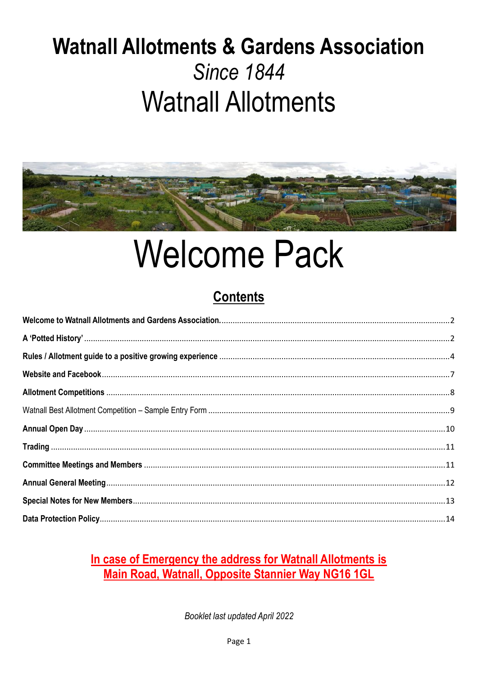# **Watnall Allotments & Gardens Association Since 1844 Watnall Allotments**



# **Welcome Pack**

# **Contents**

# In case of Emergency the address for Watnall Allotments is Main Road, Watnall, Opposite Stannier Way NG16 1GL

Booklet last updated April 2022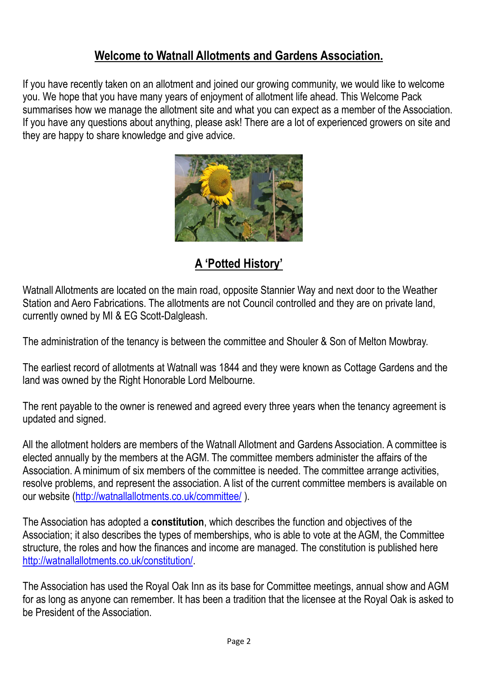## **Welcome to Watnall Allotments and Gardens Association.**

<span id="page-1-0"></span>If you have recently taken on an allotment and joined our growing community, we would like to welcome you. We hope that you have many years of enjoyment of allotment life ahead. This Welcome Pack summarises how we manage the allotment site and what you can expect as a member of the Association. If you have any questions about anything, please ask! There are a lot of experienced growers on site and they are happy to share knowledge and give advice.



**A 'Potted History'**

<span id="page-1-1"></span>Watnall Allotments are located on the main road, opposite Stannier Way and next door to the Weather Station and Aero Fabrications. The allotments are not Council controlled and they are on private land, currently owned by MI & EG Scott-Dalgleash.

The administration of the tenancy is between the committee and Shouler & Son of Melton Mowbray.

The earliest record of allotments at Watnall was 1844 and they were known as Cottage Gardens and the land was owned by the Right Honorable Lord Melbourne.

The rent payable to the owner is renewed and agreed every three years when the tenancy agreement is updated and signed.

All the allotment holders are members of the Watnall Allotment and Gardens Association. A committee is elected annually by the members at the AGM. The committee members administer the affairs of the Association. A minimum of six members of the committee is needed. The committee arrange activities, resolve problems, and represent the association. A list of the current committee members is available on our website [\(http://watnallallotments.co.uk/committee/](http://watnallallotments.co.uk/committee/) ).

The Association has adopted a **constitution**, which describes the function and objectives of the Association; it also describes the types of memberships, who is able to vote at the AGM, the Committee structure, the roles and how the finances and income are managed. The constitution is published here [http://watnallallotments.co.uk/constitution/.](http://watnallallotments.co.uk/constitution/)

The Association has used the Royal Oak Inn as its base for Committee meetings, annual show and AGM for as long as anyone can remember. It has been a tradition that the licensee at the Royal Oak is asked to be President of the Association.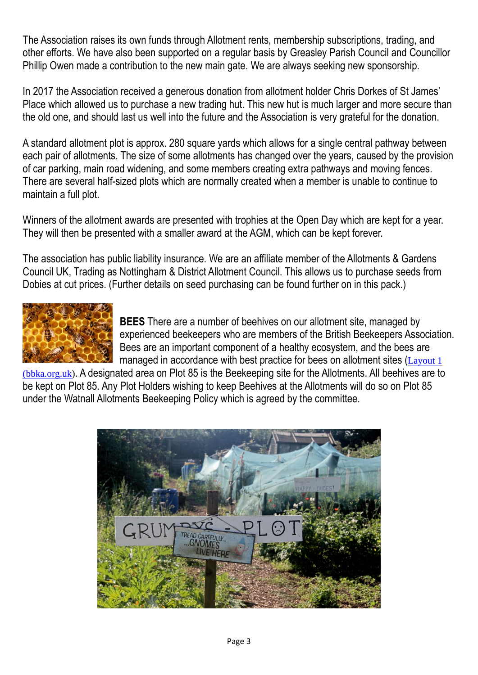The Association raises its own funds through Allotment rents, membership subscriptions, trading, and other efforts. We have also been supported on a regular basis by Greasley Parish Council and Councillor Phillip Owen made a contribution to the new main gate. We are always seeking new sponsorship.

In 2017 the Association received a generous donation from allotment holder [Chris Dorkes](http://www.chrisdorkes.co.uk/) of St James' Place which allowed us to purchase a new trading hut. This new hut is much larger and more secure than the old one, and should last us well into the future and the Association is very grateful for the donation.

A standard allotment plot is approx. 280 square yards which allows for a single central pathway between each pair of allotments. The size of some allotments has changed over the years, caused by the provision of car parking, main road widening, and some members creating extra pathways and moving fences. There are several half-sized plots which are normally created when a member is unable to continue to maintain a full plot.

Winners of the allotment awards are presented with trophies at the Open Day which are kept for a year. They will then be presented with a smaller award at the AGM, which can be kept forever.

The association has public liability insurance. We are an affiliate member of the Allotments & Gardens Council UK, Trading as Nottingham & District Allotment Council. This allows us to purchase seeds from Dobies at cut prices. (Further details on seed purchasing can be found further on in this pack.)



**BEES** There are a number of beehives on our allotment site, managed by experienced beekeepers who are members of the British Beekeepers Association. Bees are an important component of a healthy ecosystem, and the bees are managed in accordance with best practice for bees on allotment sites ([Layout 1](https://www.bbka.org.uk/Handlers/Download.ashx?IDMF=155581d4-c4f8-498e-9101-eb5ed7c2bcca))

[\(bbka.org.uk\)](https://www.bbka.org.uk/Handlers/Download.ashx?IDMF=155581d4-c4f8-498e-9101-eb5ed7c2bcca). A designated area on Plot 85 is the Beekeeping site for the Allotments. All beehives are to be kept on Plot 85. Any Plot Holders wishing to keep Beehives at the Allotments will do so on Plot 85 under the Watnall Allotments Beekeeping Policy which is agreed by the committee.

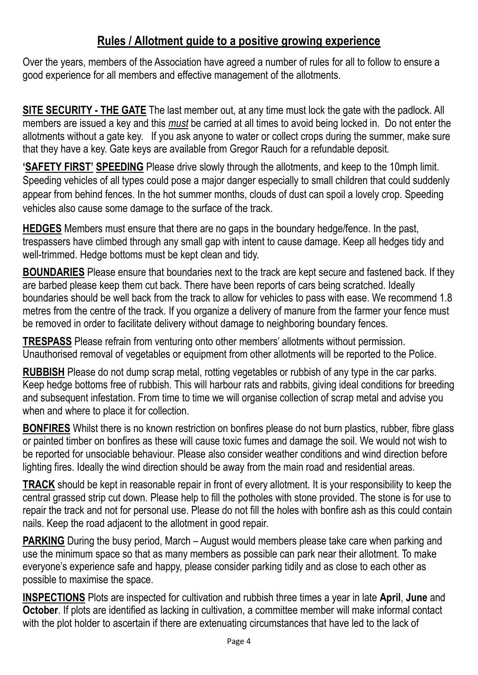### **Rules / Allotment guide to a positive growing experience**

<span id="page-3-0"></span>Over the years, members of the Association have agreed a number of rules for all to follow to ensure a good experience for all members and effective management of the allotments.

**SITE SECURITY - THE GATE** The last member out, at any time must lock the gate with the padlock. All members are issued a key and this *must* be carried at all times to avoid being locked in. Do not enter the allotments without a gate key. If you ask anyone to water or collect crops during the summer, make sure that they have a key. Gate keys are available from Gregor Rauch for a refundable deposit.

**'SAFETY FIRST' SPEEDING** Please drive slowly through the allotments, and keep to the 10mph limit. Speeding vehicles of all types could pose a major danger especially to small children that could suddenly appear from behind fences. In the hot summer months, clouds of dust can spoil a lovely crop. Speeding vehicles also cause some damage to the surface of the track.

**HEDGES** Members must ensure that there are no gaps in the boundary hedge/fence. In the past, trespassers have climbed through any small gap with intent to cause damage. Keep all hedges tidy and well-trimmed. Hedge bottoms must be kept clean and tidy.

**BOUNDARIES** Please ensure that boundaries next to the track are kept secure and fastened back. If they are barbed please keep them cut back. There have been reports of cars being scratched. Ideally boundaries should be well back from the track to allow for vehicles to pass with ease. We recommend 1.8 metres from the centre of the track. If you organize a delivery of manure from the farmer your fence must be removed in order to facilitate delivery without damage to neighboring boundary fences.

**TRESPASS** Please refrain from venturing onto other members' allotments without permission. Unauthorised removal of vegetables or equipment from other allotments will be reported to the Police.

**RUBBISH** Please do not dump scrap metal, rotting vegetables or rubbish of any type in the car parks. Keep hedge bottoms free of rubbish. This will harbour rats and rabbits, giving ideal conditions for breeding and subsequent infestation. From time to time we will organise collection of scrap metal and advise you when and where to place it for collection.

**BONFIRES** Whilst there is no known restriction on bonfires please do not burn plastics, rubber, fibre glass or painted timber on bonfires as these will cause toxic fumes and damage the soil. We would not wish to be reported for unsociable behaviour. Please also consider weather conditions and wind direction before lighting fires. Ideally the wind direction should be away from the main road and residential areas.

**TRACK** should be kept in reasonable repair in front of every allotment. It is your responsibility to keep the central grassed strip cut down. Please help to fill the potholes with stone provided. The stone is for use to repair the track and not for personal use. Please do not fill the holes with bonfire ash as this could contain nails. Keep the road adjacent to the allotment in good repair.

**PARKING** During the busy period, March – August would members please take care when parking and use the minimum space so that as many members as possible can park near their allotment. To make everyone's experience safe and happy, please consider parking tidily and as close to each other as possible to maximise the space.

**INSPECTIONS** Plots are inspected for cultivation and rubbish three times a year in late **April**, **June** and **October**. If plots are identified as lacking in cultivation, a committee member will make informal contact with the plot holder to ascertain if there are extenuating circumstances that have led to the lack of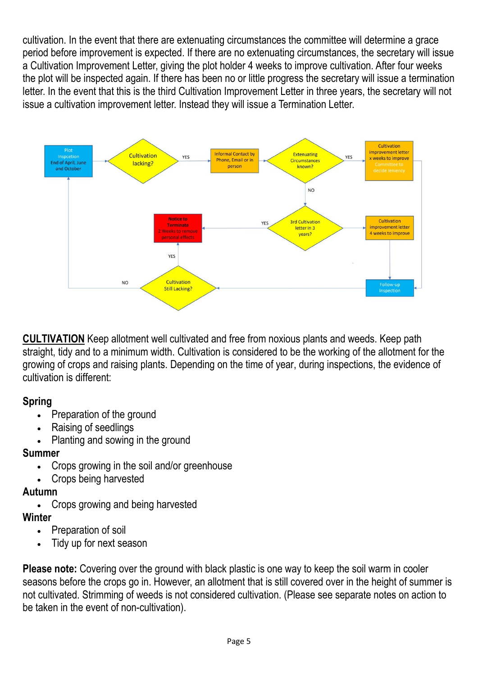cultivation. In the event that there are extenuating circumstances the committee will determine a grace period before improvement is expected. If there are no extenuating circumstances, the secretary will issue a Cultivation Improvement Letter, giving the plot holder 4 weeks to improve cultivation. After four weeks the plot will be inspected again. If there has been no or little progress the secretary will issue a termination letter. In the event that this is the third Cultivation Improvement Letter in three years, the secretary will not issue a cultivation improvement letter. Instead they will issue a Termination Letter.



**CULTIVATION** Keep allotment well cultivated and free from noxious plants and weeds. Keep path straight, tidy and to a minimum width. Cultivation is considered to be the working of the allotment for the growing of crops and raising plants. Depending on the time of year, during inspections, the evidence of cultivation is different:

#### **Spring**

- Preparation of the ground
- Raising of seedlings
- Planting and sowing in the ground

#### **Summer**

- Crops growing in the soil and/or greenhouse
- Crops being harvested

#### **Autumn**

• Crops growing and being harvested

#### **Winter**

- Preparation of soil
- Tidy up for next season

**Please note:** Covering over the ground with black plastic is one way to keep the soil warm in cooler seasons before the crops go in. However, an allotment that is still covered over in the height of summer is not cultivated. Strimming of weeds is not considered cultivation. (Please see separate notes on action to be taken in the event of non-cultivation).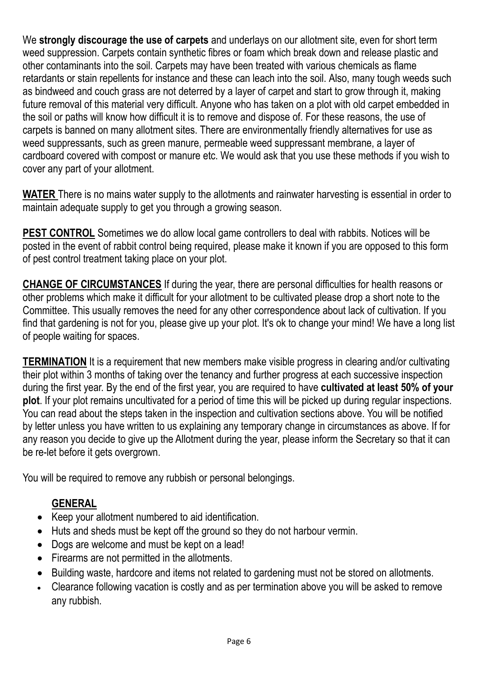We **strongly discourage the use of carpets** and underlays on our allotment site, even for short term weed suppression. Carpets contain synthetic fibres or foam which break down and release plastic and other contaminants into the soil. Carpets may have been treated with various chemicals as flame retardants or stain repellents for instance and these can leach into the soil. Also, many tough weeds such as bindweed and couch grass are not deterred by a layer of carpet and start to grow through it, making future removal of this material very difficult. Anyone who has taken on a plot with old carpet embedded in the soil or paths will know how difficult it is to remove and dispose of. For these reasons, the use of carpets is banned on many allotment sites. There are environmentally friendly alternatives for use as weed suppressants, such as green manure, permeable weed suppressant membrane, a layer of cardboard covered with compost or manure etc. We would ask that you use these methods if you wish to cover any part of your allotment.

**WATER** There is no mains water supply to the allotments and rainwater harvesting is essential in order to maintain adequate supply to get you through a growing season.

**PEST CONTROL** Sometimes we do allow local game controllers to deal with rabbits. Notices will be posted in the event of rabbit control being required, please make it known if you are opposed to this form of pest control treatment taking place on your plot.

**CHANGE OF CIRCUMSTANCES** If during the year, there are personal difficulties for health reasons or other problems which make it difficult for your allotment to be cultivated please drop a short note to the Committee. This usually removes the need for any other correspondence about lack of cultivation. If you find that gardening is not for you, please give up your plot. It's ok to change your mind! We have a long list of people waiting for spaces.

**TERMINATION** It is a requirement that new members make visible progress in clearing and/or cultivating their plot within 3 months of taking over the tenancy and further progress at each successive inspection during the first year. By the end of the first year, you are required to have **cultivated at least 50% of your plot**. If your plot remains uncultivated for a period of time this will be picked up during regular inspections. You can read about the steps taken in the inspection and cultivation sections above. You will be notified by letter unless you have written to us explaining any temporary change in circumstances as above. If for any reason you decide to give up the Allotment during the year, please inform the Secretary so that it can be re-let before it gets overgrown.

You will be required to remove any rubbish or personal belongings.

#### **GENERAL**

- Keep your allotment numbered to aid identification.
- Huts and sheds must be kept off the ground so they do not harbour vermin.
- Dogs are welcome and must be kept on a lead!
- Firearms are not permitted in the allotments.
- Building waste, hardcore and items not related to gardening must not be stored on allotments.
- Clearance following vacation is costly and as per termination above you will be asked to remove any rubbish.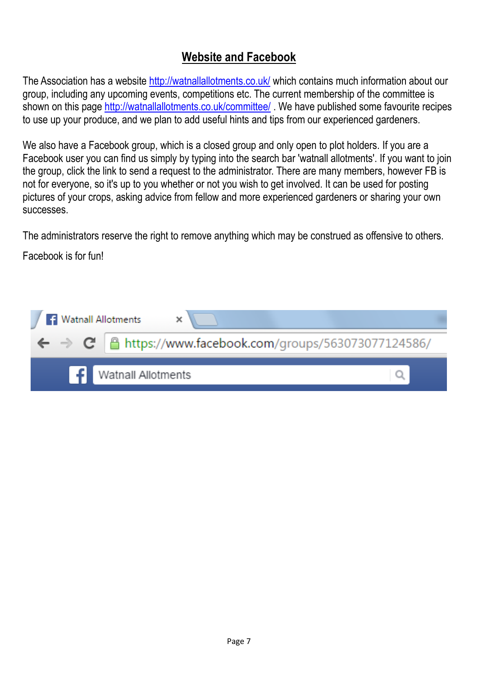# **Website and Facebook**

<span id="page-6-0"></span>The Association has a website<http://watnallallotments.co.uk/> which contains much information about our group, including any upcoming events, competitions etc. The current membership of the committee is shown on this page<http://watnallallotments.co.uk/committee/>. We have published some favourite recipes to use up your produce, and we plan to add useful hints and tips from our experienced gardeners.

We also have a Facebook group, which is a closed group and only open to plot holders. If you are a Facebook user you can find us simply by typing into the search bar 'watnall allotments'. If you want to join the group, click the link to send a request to the administrator. There are many members, however FB is not for everyone, so it's up to you whether or not you wish to get involved. It can be used for posting pictures of your crops, asking advice from fellow and more experienced gardeners or sharing your own successes.

The administrators reserve the right to remove anything which may be construed as offensive to others.

Facebook is for fun!

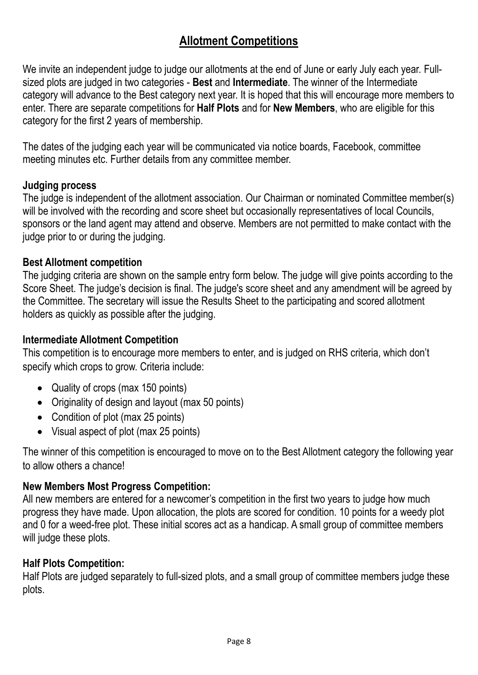# **Allotment Competitions**

<span id="page-7-0"></span>We invite an independent judge to judge our allotments at the end of June or early July each year. Fullsized plots are judged in two categories - **Best** and **Intermediate**. The winner of the Intermediate category will advance to the Best category next year. It is hoped that this will encourage more members to enter. There are separate competitions for **Half Plots** and for **New Members**, who are eligible for this category for the first 2 years of membership.

The dates of the judging each year will be communicated via notice boards, Facebook, committee meeting minutes etc. Further details from any committee member.

#### **Judging process**

The judge is independent of the allotment association. Our Chairman or nominated Committee member(s) will be involved with the recording and score sheet but occasionally representatives of local Councils, sponsors or the land agent may attend and observe. Members are not permitted to make contact with the judge prior to or during the judging.

#### **Best Allotment competition**

The judging criteria are shown on the sample entry form below. The judge will give points according to the Score Sheet. The judge's decision is final. The judge's score sheet and any amendment will be agreed by the Committee. The secretary will issue the Results Sheet to the participating and scored allotment holders as quickly as possible after the judging.

#### **Intermediate Allotment Competition**

This competition is to encourage more members to enter, and is judged on RHS criteria, which don't specify which crops to grow. Criteria include:

- Quality of crops (max 150 points)
- Originality of design and layout (max 50 points)
- Condition of plot (max 25 points)
- Visual aspect of plot (max 25 points)

The winner of this competition is encouraged to move on to the Best Allotment category the following year to allow others a chance!

#### **New Members Most Progress Competition:**

All new members are entered for a newcomer's competition in the first two years to judge how much progress they have made. Upon allocation, the plots are scored for condition. 10 points for a weedy plot and 0 for a weed-free plot. These initial scores act as a handicap. A small group of committee members will judge these plots.

#### **Half Plots Competition:**

Half Plots are judged separately to full-sized plots, and a small group of committee members judge these plots.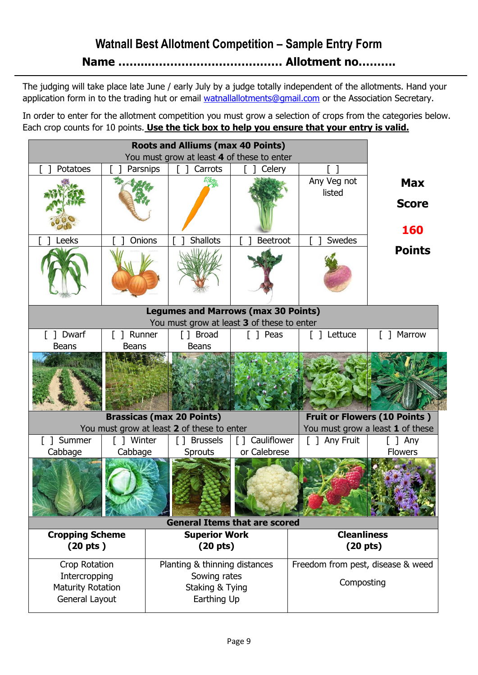# **Watnall Best Allotment Competition - Sample Entry Form**

**Name ……..……………………………… Allotment no……….**

<span id="page-8-0"></span>The judging will take place late June / early July by a judge totally independent of the allotments. Hand your application form in to the trading hut or email [watnallallotments@gmail.com](mailto:watnallallotments@gmail.com) or the Association Secretary.

In order to enter for the allotment competition you must grow a selection of crops from the categories below. Each crop counts for 10 points. **Use the tick box to help you ensure that your entry is valid.**

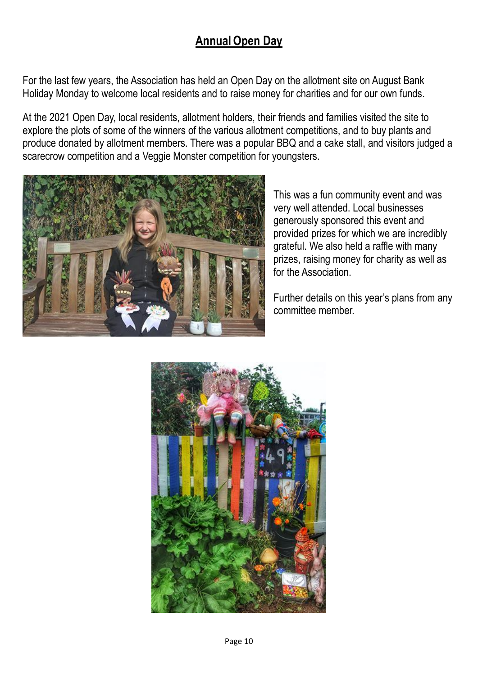# **AnnualOpen Day**

<span id="page-9-0"></span>For the last few years, the Association has held an Open Day on the allotment site on August Bank Holiday Monday to welcome local residents and to raise money for charities and for our own funds.

At the 2021 Open Day, local residents, allotment holders, their friends and families visited the site to explore the plots of some of the winners of the various allotment competitions, and to buy plants and produce donated by allotment members. There was a popular BBQ and a cake stall, and visitors judged a scarecrow competition and a Veggie Monster competition for youngsters.



This was a fun community event and was very well attended. Local businesses generously sponsored this event and provided prizes for which we are incredibly grateful. We also held a raffle with many prizes, raising money for charity as well as for the Association.

Further details on this year's plans from any committee member.

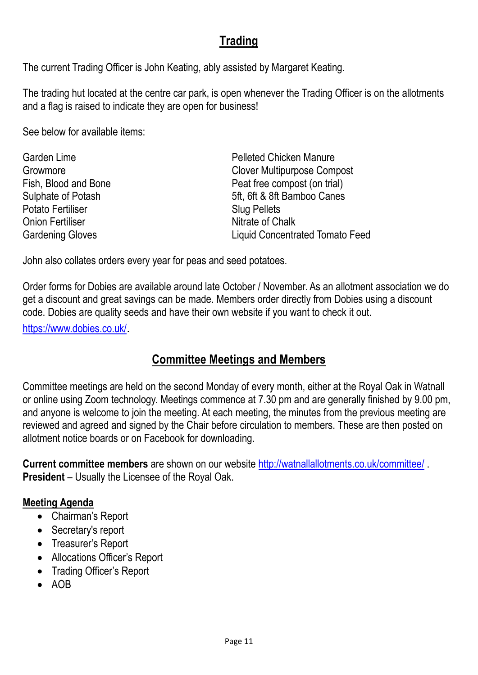# **Trading**

<span id="page-10-0"></span>The current Trading Officer is John Keating, ably assisted by Margaret Keating.

The trading hut located at the centre car park, is open whenever the Trading Officer is on the allotments and a flag is raised to indicate they are open for business!

See below for available items:

| <b>Pelleted Chicken Manure</b>         |
|----------------------------------------|
| <b>Clover Multipurpose Compost</b>     |
| Peat free compost (on trial)           |
| 5ft, 6ft & 8ft Bamboo Canes            |
| <b>Slug Pellets</b>                    |
| Nitrate of Chalk                       |
| <b>Liquid Concentrated Tomato Feed</b> |
|                                        |

John also collates orders every year for peas and seed potatoes.

Order forms for Dobies are available around late October / November. As an allotment association we do get a discount and great savings can be made. Members order directly from Dobies using a discount code. Dobies are quality seeds and have their own website if you want to check it out.

<https://www.dobies.co.uk/>.

# **Committee Meetings and Members**

<span id="page-10-1"></span>Committee meetings are held on the second Monday of every month, either at the Royal Oak in Watnall or online using Zoom technology. Meetings commence at 7.30 pm and are generally finished by 9.00 pm, and anyone is welcome to join the meeting. At each meeting, the minutes from the previous meeting are reviewed and agreed and signed by the Chair before circulation to members. These are then posted on allotment notice boards or on Facebook for downloading.

**Current committee members** are shown on our website<http://watnallallotments.co.uk/committee/> . **President** – Usually the Licensee of the Royal Oak.

#### **Meeting Agenda**

- Chairman's Report
- Secretary's report
- Treasurer's Report
- Allocations Officer's Report
- Trading Officer's Report
- AOB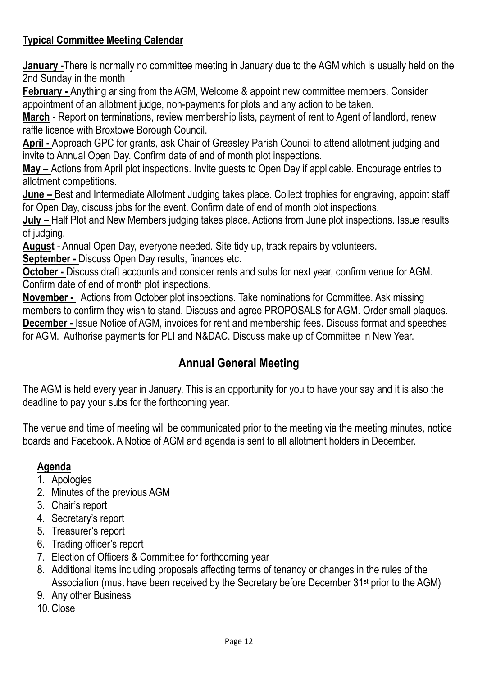#### **Typical Committee Meeting Calendar**

**January -**There is normally no committee meeting in January due to the AGM which is usually held on the 2nd Sunday in the month

**February -** Anything arising from the AGM, Welcome & appoint new committee members. Consider appointment of an allotment judge, non-payments for plots and any action to be taken.

**March** - Report on terminations, review membership lists, payment of rent to Agent of landlord, renew raffle licence with Broxtowe Borough Council.

**April -** Approach GPC for grants, ask Chair of Greasley Parish Council to attend allotment judging and invite to Annual Open Day. Confirm date of end of month plot inspections.

**May –** Actions from April plot inspections. Invite guests to Open Day if applicable. Encourage entries to allotment competitions.

**June –** Best and Intermediate Allotment Judging takes place. Collect trophies for engraving, appoint staff for Open Day, discuss jobs for the event. Confirm date of end of month plot inspections.

**July –** Half Plot and New Members judging takes place. Actions from June plot inspections. Issue results of judging.

**August** - Annual Open Day, everyone needed. Site tidy up, track repairs by volunteers.

**September -** Discuss Open Day results, finances etc.

**October -** Discuss draft accounts and consider rents and subs for next year, confirm venue for AGM. Confirm date of end of month plot inspections.

**November -** Actions from October plot inspections. Take nominations for Committee. Ask missing members to confirm they wish to stand. Discuss and agree PROPOSALS for AGM. Order small plaques. **December -** Issue Notice of AGM, invoices for rent and membership fees. Discuss format and speeches for AGM. Authorise payments for PLI and N&DAC. Discuss make up of Committee in New Year.

# **Annual General Meeting**

<span id="page-11-0"></span>The AGM is held every year in January. This is an opportunity for you to have your say and it is also the deadline to pay your subs for the forthcoming year.

The venue and time of meeting will be communicated prior to the meeting via the meeting minutes, notice boards and Facebook. A Notice of AGM and agenda is sent to all allotment holders in December.

#### **Agenda**

- 1. Apologies
- 2. Minutes of the previous AGM
- 3. Chair's report
- 4. Secretary's report
- 5. Treasurer's report
- 6. Trading officer's report
- 7. Election of Officers & Committee for forthcoming year
- 8. Additional items including proposals affecting terms of tenancy or changes in the rules of the Association (must have been received by the Secretary before December 31st prior to the AGM)
- 9. Any other Business
- 10. Close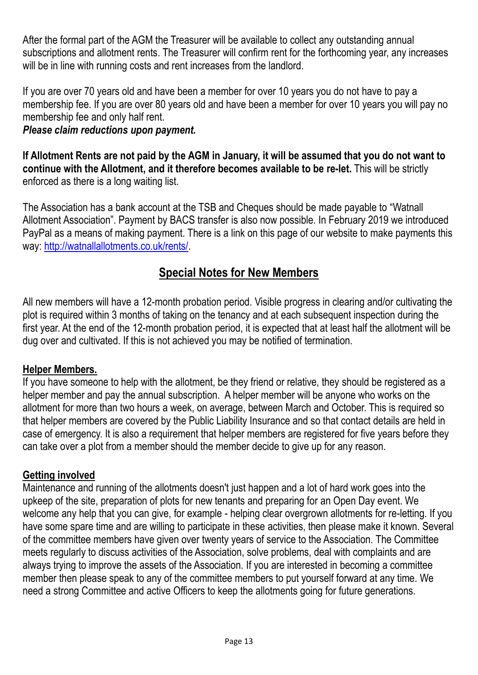After the formal part of the AGM the Treasurer will be available to collect any outstanding annual subscriptions and allotment rents. The Treasurer will confirm rent for the forthcoming year, any increases will be in line with running costs and rent increases from the landlord.

If you are over 70 years old and have been a member for over 10 years you do not have to pay a membership fee. If you are over 80 years old and have been a member for over 10 years you will pay no membership fee and only half rent.

#### *Please claim reductions upon payment.*

**If Allotment Rents are not paid by the AGM in January, it will be assumed that you do not want to continue with the Allotment, and it therefore becomes available to be re-let.** This will be strictly enforced as there is a long waiting list.

The Association has a bank account at the TSB and Cheques should be made payable to "Watnall Allotment Association". Payment by BACS transfer is also now possible. In February 2019 we introduced PayPal as a means of making payment. There is a link on this page of our website to make payments this way: [http://watnallallotments.co.uk/rents/.](http://watnallallotments.co.uk/rents/)

#### **Special Notes for New Members**

<span id="page-12-0"></span>All new members will have a 12-month probation period. Visible progress in clearing and/or cultivating the plot is required within 3 months of taking on the tenancy and at each subsequent inspection during the first year. At the end of the 12-month probation period, it is expected that at least half the allotment will be dug over and cultivated. If this is not achieved you may be notified of termination.

#### **Helper Members.**

If you have someone to help with the allotment, be they friend or relative, they should be registered as a helper member and pay the annual subscription. A helper member will be anyone who works on the allotment for more than two hours a week, on average, between March and October. This is required so that helper members are covered by the Public Liability Insurance and so that contact details are held in case of emergency. It is also a requirement that helper members are registered for five years before they can take over a plot from a member should the member decide to give up for any reason.

#### **Getting involved**

Maintenance and running of the allotments doesn't just happen and a lot of hard work goes into the upkeep of the site, preparation of plots for new tenants and preparing for an Open Day event. We welcome any help that you can give, for example - helping clear overgrown allotments for re-letting. If you have some spare time and are willing to participate in these activities, then please make it known. Several of the committee members have given over twenty years of service to the Association. The Committee meets regularly to discuss activities of the Association, solve problems, deal with complaints and are always trying to improve the assets of the Association. If you are interested in becoming a committee member then please speak to any of the committee members to put yourself forward at any time. We need a strong Committee and active Officers to keep the allotments going for future generations.